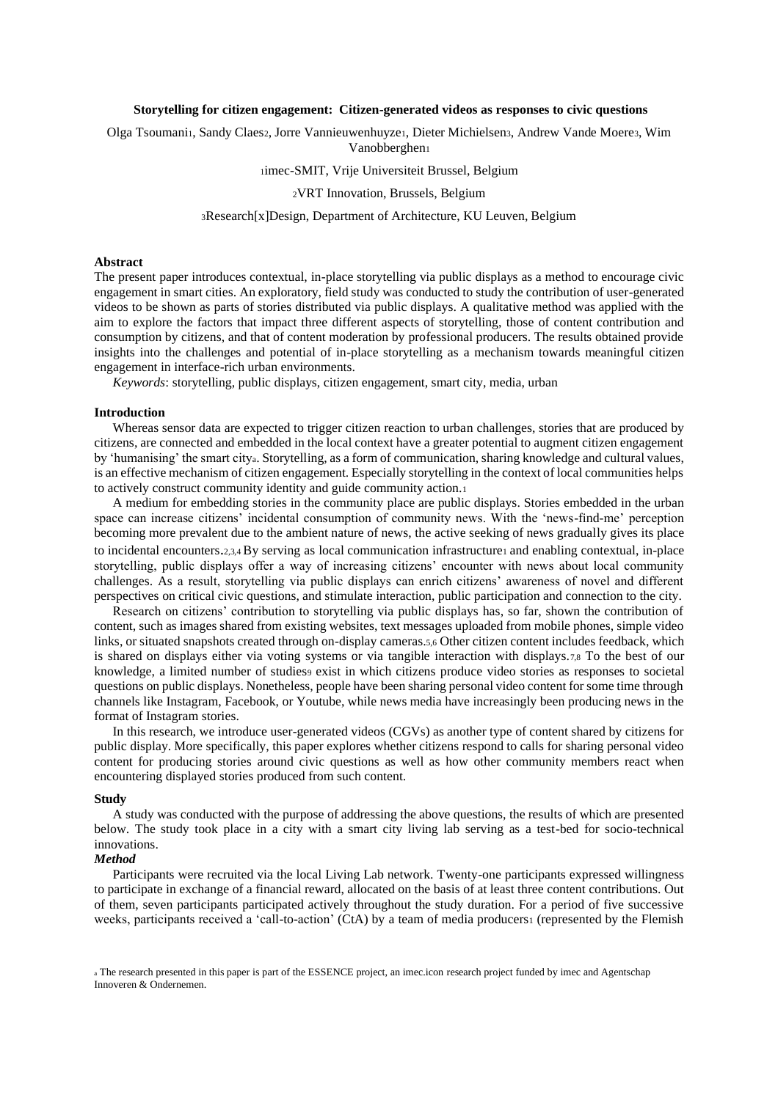#### **Storytelling for citizen engagement: Citizen-generated videos as responses to civic questions**

Olga Tsoumani1, Sandy Claes2, Jorre Vannieuwenhuyze1, Dieter Michielsen3, Andrew Vande Moere3, Wim Vanobberghen<sup>1</sup>

<sup>1</sup>imec-SMIT, Vrije Universiteit Brussel, Belgium

<sup>2</sup>VRT Innovation, Brussels, Belgium

<sup>3</sup>Research[x]Design, Department of Architecture, KU Leuven, Belgium

### **Abstract**

The present paper introduces contextual, in-place storytelling via public displays as a method to encourage civic engagement in smart cities. An exploratory, field study was conducted to study the contribution of user-generated videos to be shown as parts of stories distributed via public displays. A qualitative method was applied with the aim to explore the factors that impact three different aspects of storytelling, those of content contribution and consumption by citizens, and that of content moderation by professional producers. The results obtained provide insights into the challenges and potential of in-place storytelling as a mechanism towards meaningful citizen engagement in interface-rich urban environments.

*Keywords*: storytelling, public displays, citizen engagement, smart city, media, urban

#### **Introduction**

Whereas sensor data are expected to trigger citizen reaction to urban challenges, stories that are produced by citizens, are connected and embedded in the local context have a greater potential to augment citizen engagement by 'humanising' the smart citya. Storytelling, as a form of communication, sharing knowledge and cultural values, is an effective mechanism of citizen engagement. Especially storytelling in the context of local communities helps to actively construct community identity and guide community action.<sup>1</sup>

A medium for embedding stories in the community place are public displays. Stories embedded in the urban space can increase citizens' incidental consumption of community news. With the 'news-find-me' perception becoming more prevalent due to the ambient nature of news, the active seeking of news gradually gives its place to incidental encounters.2,3,4 By serving as local communication infrastructure1 and enabling contextual, in-place storytelling, public displays offer a way of increasing citizens' encounter with news about local community challenges. As a result, storytelling via public displays can enrich citizens' awareness of novel and different perspectives on critical civic questions, and stimulate interaction, public participation and connection to the city.

Research on citizens' contribution to storytelling via public displays has, so far, shown the contribution of content, such as images shared from existing websites, text messages uploaded from mobile phones, simple video links, or situated snapshots created through on-display cameras.5,6 Other citizen content includes feedback, which is shared on displays either via voting systems or via tangible interaction with displays.7,8 To the best of our knowledge, a limited number of studies9 exist in which citizens produce video stories as responses to societal questions on public displays. Nonetheless, people have been sharing personal video content for some time through channels like Instagram, Facebook, or Youtube, while news media have increasingly been producing news in the format of Instagram stories.

In this research, we introduce user-generated videos (CGVs) as another type of content shared by citizens for public display. More specifically, this paper explores whether citizens respond to calls for sharing personal video content for producing stories around civic questions as well as how other community members react when encountering displayed stories produced from such content.

#### **Study**

A study was conducted with the purpose of addressing the above questions, the results of which are presented below. The study took place in a city with a smart city living lab serving as a test-bed for socio-technical innovations.

## *Method*

Participants were recruited via the local Living Lab network. Twenty-one participants expressed willingness to participate in exchange of a financial reward, allocated on the basis of at least three content contributions. Out of them, seven participants participated actively throughout the study duration. For a period of five successive weeks, participants received a 'call-to-action' (CtA) by a team of media producers1 (represented by the Flemish

a The research presented in this paper is part of the ESSENCE project, an imec.icon research project funded by imec and Agentschap Innoveren & Ondernemen.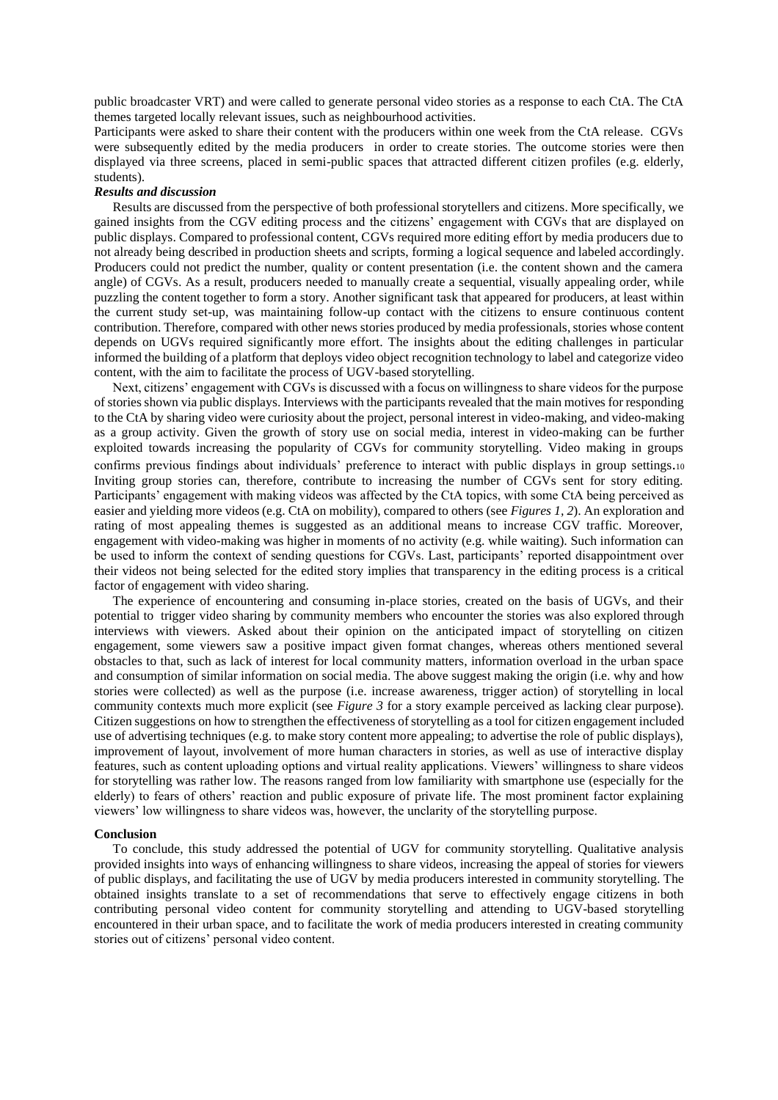public broadcaster VRT) and were called to generate personal video stories as a response to each CtA. The CtA themes targeted locally relevant issues, such as neighbourhood activities.

Participants were asked to share their content with the producers within one week from the CtA release. CGVs were subsequently edited by the media producers in order to create stories. The outcome stories were then displayed via three screens, placed in semi-public spaces that attracted different citizen profiles (e.g. elderly, students).

# *Results and discussion*

Results are discussed from the perspective of both professional storytellers and citizens. More specifically, we gained insights from the CGV editing process and the citizens' engagement with CGVs that are displayed on public displays. Compared to professional content, CGVs required more editing effort by media producers due to not already being described in production sheets and scripts, forming a logical sequence and labeled accordingly. Producers could not predict the number, quality or content presentation (i.e. the content shown and the camera angle) of CGVs. As a result, producers needed to manually create a sequential, visually appealing order, while puzzling the content together to form a story. Another significant task that appeared for producers, at least within the current study set-up, was maintaining follow-up contact with the citizens to ensure continuous content contribution. Therefore, compared with other news stories produced by media professionals, stories whose content depends on UGVs required significantly more effort. The insights about the editing challenges in particular informed the building of a platform that deploys video object recognition technology to label and categorize video content, with the aim to facilitate the process of UGV-based storytelling.

Next, citizens' engagement with CGVs is discussed with a focus on willingness to share videos for the purpose of stories shown via public displays. Interviews with the participants revealed that the main motives for responding to the CtA by sharing video were curiosity about the project, personal interest in video-making, and video-making as a group activity. Given the growth of story use on social media, interest in video-making can be further exploited towards increasing the popularity of CGVs for community storytelling. Video making in groups confirms previous findings about individuals' preference to interact with public displays in group settings.<sup>10</sup> Inviting group stories can, therefore, contribute to increasing the number of CGVs sent for story editing. Participants' engagement with making videos was affected by the CtA topics, with some CtA being perceived as easier and yielding more videos (e.g. CtA on mobility), compared to others (see *Figures 1, 2*). An exploration and rating of most appealing themes is suggested as an additional means to increase CGV traffic. Moreover, engagement with video-making was higher in moments of no activity (e.g. while waiting). Such information can be used to inform the context of sending questions for CGVs. Last, participants' reported disappointment over their videos not being selected for the edited story implies that transparency in the editing process is a critical factor of engagement with video sharing.

The experience of encountering and consuming in-place stories, created on the basis of UGVs, and their potential to trigger video sharing by community members who encounter the stories was also explored through interviews with viewers. Asked about their opinion on the anticipated impact of storytelling on citizen engagement, some viewers saw a positive impact given format changes, whereas others mentioned several obstacles to that, such as lack of interest for local community matters, information overload in the urban space and consumption of similar information on social media. The above suggest making the origin (i.e. why and how stories were collected) as well as the purpose (i.e. increase awareness, trigger action) of storytelling in local community contexts much more explicit (see *Figure 3* for a story example perceived as lacking clear purpose). Citizen suggestions on how to strengthen the effectiveness of storytelling as a tool for citizen engagement included use of advertising techniques (e.g. to make story content more appealing; to advertise the role of public displays), improvement of layout, involvement of more human characters in stories, as well as use of interactive display features, such as content uploading options and virtual reality applications. Viewers' willingness to share videos for storytelling was rather low. The reasons ranged from low familiarity with smartphone use (especially for the elderly) to fears of others' reaction and public exposure of private life. The most prominent factor explaining viewers' low willingness to share videos was, however, the unclarity of the storytelling purpose.

## **Conclusion**

To conclude, this study addressed the potential of UGV for community storytelling. Qualitative analysis provided insights into ways of enhancing willingness to share videos, increasing the appeal of stories for viewers of public displays, and facilitating the use of UGV by media producers interested in community storytelling. The obtained insights translate to a set of recommendations that serve to effectively engage citizens in both contributing personal video content for community storytelling and attending to UGV-based storytelling encountered in their urban space, and to facilitate the work of media producers interested in creating community stories out of citizens' personal video content.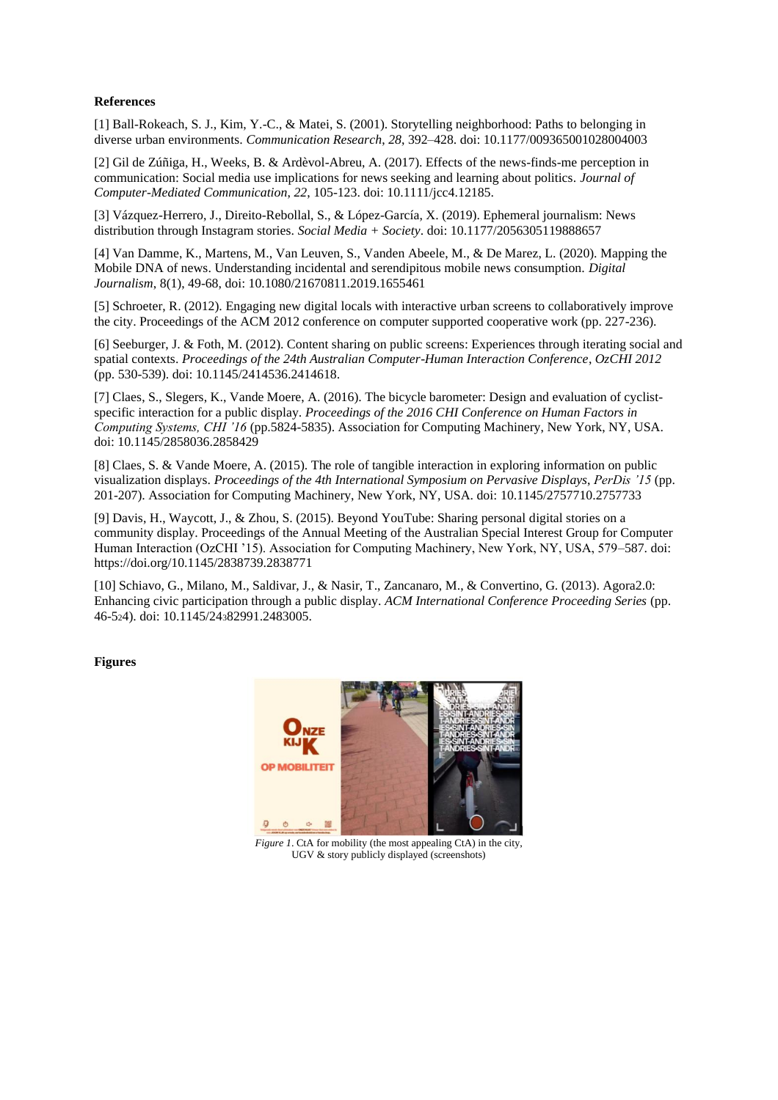# **References**

[1] Ball-Rokeach, S. J., Kim, Y.-C., & Matei, S. (2001). Storytelling neighborhood: Paths to belonging in diverse urban environments. *Communication Research*, *28*, 392–428. doi: 10.1177/009365001028004003

[2] Gil de Zúñiga, H., Weeks, B. & Ardèvol-Abreu, A. (2017). Effects of the news-finds-me perception in communication: Social media use implications for news seeking and learning about politics. *Journal of Computer-Mediated Communication*, *22*, 105-123. doi: 10.1111/jcc4.12185.

[3] Vázquez-Herrero, J., Direito-Rebollal, S., & López-García, X. (2019). Ephemeral journalism: News distribution through Instagram stories. *Social Media + Society*[. doi: 10.1177/2056305119888657](https://doi.org/10.1177/2056305119888657)

[4] Van Damme, K., Martens, M., Van Leuven, S., Vanden Abeele, M., & De Marez, L. (2020). Mapping the Mobile DNA of news. Understanding incidental and serendipitous mobile news consumption. *Digital Journalism*, 8(1), 49-68, doi: 10.1080/21670811.2019.1655461

[5] Schroeter, R. (2012). Engaging new digital locals with interactive urban screens to collaboratively improve the city. Proceedings of the ACM 2012 conference on computer supported cooperative work (pp. 227-236).

[6] Seeburger, J. & Foth, M. (2012). Content sharing on public screens: Experiences through iterating social and spatial contexts. *Proceedings of the 24th Australian Computer-Human Interaction Conference*, *OzCHI 2012* (pp. 530-539). doi: 10.1145/2414536.2414618.

[7] Claes, S., Slegers, K., Vande Moere, A. (2016). The bicycle barometer: Design and evaluation of cyclistspecific interaction for a public display. *Proceedings of the 2016 CHI Conference on Human Factors in Computing Systems, CHI '16* (pp.5824-5835). Association for Computing Machinery, New York, NY, USA. [doi: 10.1145/2858036.2858429](https://doi.org/10.1145/2858036.2858429)

[8] Claes, S. & Vande Moere, A. (2015). The role of tangible interaction in exploring information on public visualization displays. *Proceedings of the 4th International Symposium on Pervasive Displays*, *PerDis '15* (pp. 201-207). Association for Computing Machinery, New York, NY, USA. doi: [10.1145/2757710.2757733](https://doi.org/10.1145/2757710.2757733)

[9] Davis, H., Waycott, J., & Zhou, S. (2015). Beyond YouTube: Sharing personal digital stories on a community display. Proceedings of the Annual Meeting of the Australian Special Interest Group for Computer Human Interaction (OzCHI '15). Association for Computing Machinery, New York, NY, USA, 579–587. doi: https://doi.org/10.1145/2838739.2838771

[10] Schiavo, G., Milano, M., Saldivar, J., & Nasir, T., Zancanaro, M., & Convertino, G. (2013). Agora2.0: Enhancing civic participation through a public display. *ACM International Conference Proceeding Series* (pp. 46-524). doi: 10.1145/24382991.2483005.

## **Figures**



*Figure 1*. CtA for mobility (the most appealing CtA) in the city, UGV & story publicly displayed (screenshots)